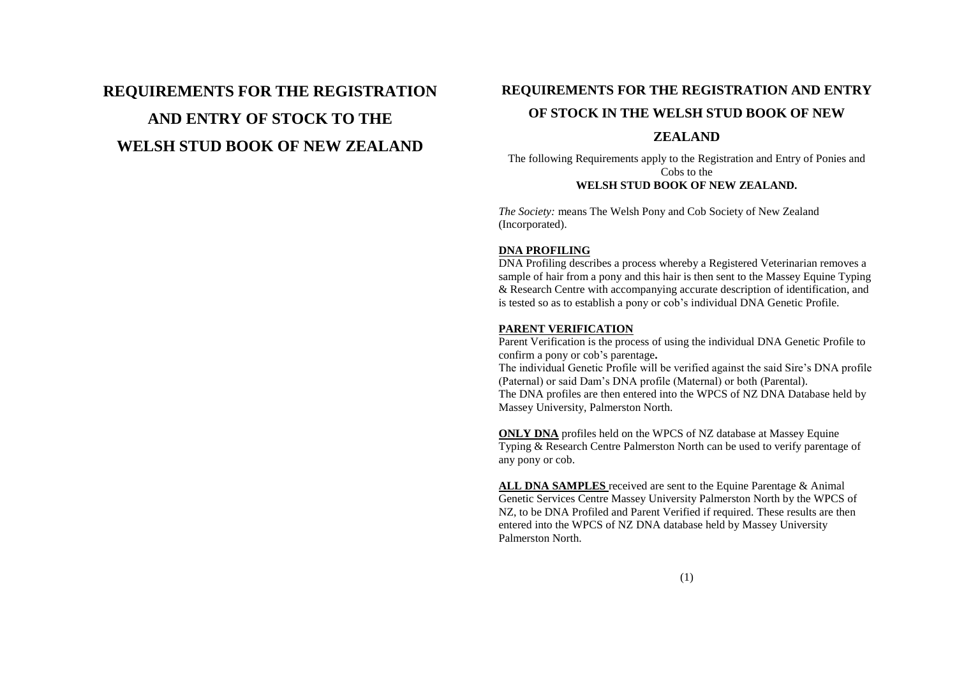# **REQUIREMENTS FOR THE REGISTRATION AND ENTRY OF STOCK TO THE WELSH STUD BOOK OF NEW ZEALAND**

# **REQUIREMENTS FOR THE REGISTRATION AND ENTRY**

# **OF STOCK IN THE WELSH STUD BOOK OF NEW**

# **ZEALAND**

The following Requirements apply to the Registration and Entry of Ponies and Cobs to the **WELSH STUD BOOK OF NEW ZEALAND.**

*The Society:* means The Welsh Pony and Cob Society of New Zealand (Incorporated).

## **DNA PROFILING**

DNA Profiling describes a process whereby a Registered Veterinarian removes a sample of hair from a pony and this hair is then sent to the Massey Equine Typing & Research Centre with accompanying accurate description of identification, and is tested so as to establish a pony or cob"s individual DNA Genetic Profile.

## **PARENT VERIFICATION**

Parent Verification is the process of using the individual DNA Genetic Profile to confirm a pony or cob"s parentage**.** The individual Genetic Profile will be verified against the said Sire"s DNA profile (Paternal) or said Dam"s DNA profile (Maternal) or both (Parental). The DNA profiles are then entered into the WPCS of NZ DNA Database held by Massey University, Palmerston North.

**ONLY DNA** profiles held on the WPCS of NZ database at Massey Equine Typing & Research Centre Palmerston North can be used to verify parentage of any pony or cob.

**ALL DNA SAMPLES** received are sent to the Equine Parentage & Animal Genetic Services Centre Massey University Palmerston North by the WPCS of NZ, to be DNA Profiled and Parent Verified if required. These results are then entered into the WPCS of NZ DNA database held by Massey University Palmerston North.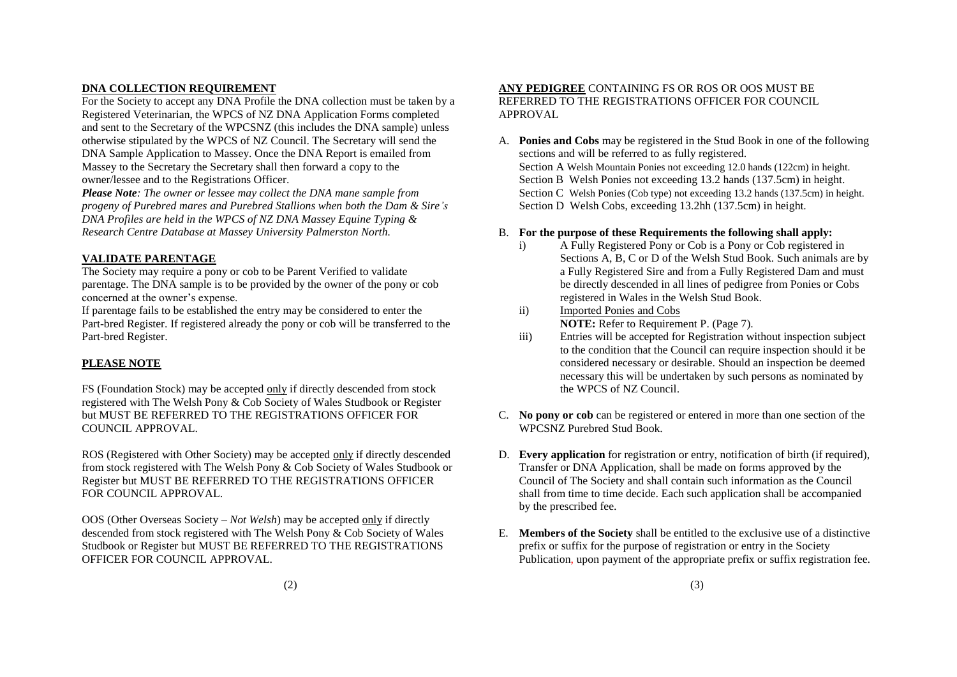# **DNA COLLECTION REQUIREMENT**

For the Society to accept any DNA Profile the DNA collection must be taken by a Registered Veterinarian, the WPCS of NZ DNA Application Forms completed and sent to the Secretary of the WPCSNZ (this includes the DNA sample) unless otherwise stipulated by the WPCS of NZ Council. The Secretary will send the DNA Sample Application to Massey. Once the DNA Report is emailed from Massey to the Secretary the Secretary shall then forward a copy to the owner/lessee and to the Registrations Officer.

*Please Note: The owner or lessee may collect the DNA mane sample from progeny of Purebred mares and Purebred Stallions when both the Dam & Sire's DNA Profiles are held in the WPCS of NZ DNA Massey Equine Typing & Research Centre Database at Massey University Palmerston North.*

# **VALIDATE PARENTAGE**

The Society may require a pony or cob to be Parent Verified to validate parentage. The DNA sample is to be provided by the owner of the pony or cob concerned at the owner's expense.

If parentage fails to be established the entry may be considered to enter the Part-bred Register. If registered already the pony or cob will be transferred to the Part-bred Register.

# **PLEASE NOTE**

FS (Foundation Stock) may be accepted only if directly descended from stock registered with The Welsh Pony & Cob Society of Wales Studbook or Register but MUST BE REFERRED TO THE REGISTRATIONS OFFICER FOR COUNCIL APPROVAL.

ROS (Registered with Other Society) may be accepted only if directly descended from stock registered with The Welsh Pony & Cob Society of Wales Studbook or Register but MUST BE REFERRED TO THE REGISTRATIONS OFFICER FOR COUNCIL APPROVAL.

OOS (Other Overseas Society – *Not Welsh*) may be accepted only if directly descended from stock registered with The Welsh Pony & Cob Society of Wales Studbook or Register but MUST BE REFERRED TO THE REGISTRATIONS OFFICER FOR COUNCIL APPROVAL.

## **ANY PEDIGREE** CONTAINING FS OR ROS OR OOS MUST BE REFERRED TO THE REGISTRATIONS OFFICER FOR COUNCIL APPROVAL

A. **Ponies and Cobs** may be registered in the Stud Book in one of the following sections and will be referred to as fully registered. Section A Welsh Mountain Ponies not exceeding 12.0 hands (122cm) in height. Section B Welsh Ponies not exceeding 13.2 hands (137.5cm) in height. Section C Welsh Ponies (Cob type) not exceeding 13.2 hands (137.5cm) in height. Section D Welsh Cobs, exceeding 13.2hh (137.5cm) in height.

# B. **For the purpose of these Requirements the following shall apply:**

- i) A Fully Registered Pony or Cob is a Pony or Cob registered in Sections A, B, C or D of the Welsh Stud Book. Such animals are by a Fully Registered Sire and from a Fully Registered Dam and must be directly descended in all lines of pedigree from Ponies or Cobs registered in Wales in the Welsh Stud Book.
- ii) Imported Ponies and Cobs **NOTE:** Refer to Requirement P. (Page 7).
- iii) Entries will be accepted for Registration without inspection subject to the condition that the Council can require inspection should it be considered necessary or desirable. Should an inspection be deemed necessary this will be undertaken by such persons as nominated by the WPCS of NZ Council.
- C. **No pony or cob** can be registered or entered in more than one section of the WPCSNZ Purebred Stud Book.
- D. **Every application** for registration or entry, notification of birth (if required), Transfer or DNA Application, shall be made on forms approved by the Council of The Society and shall contain such information as the Council shall from time to time decide. Each such application shall be accompanied by the prescribed fee.
- E. **Members of the Society** shall be entitled to the exclusive use of a distinctive prefix or suffix for the purpose of registration or entry in the Society Publication, upon payment of the appropriate prefix or suffix registration fee.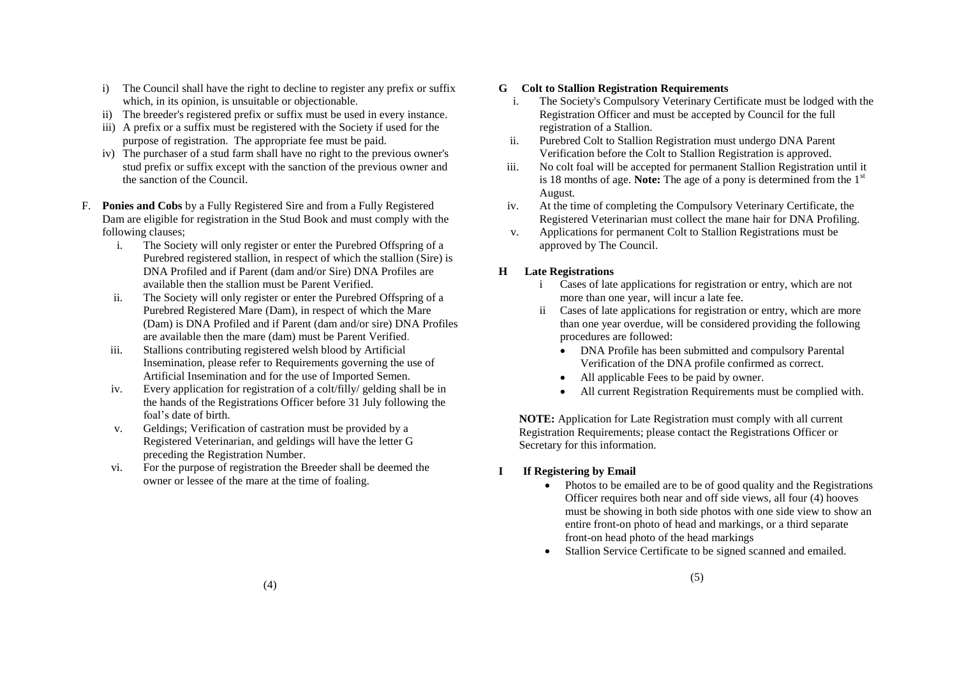- i) The Council shall have the right to decline to register any prefix or suffix which, in its opinion, is unsuitable or objectionable.
- ii) The breeder's registered prefix or suffix must be used in every instance.
- iii) A prefix or a suffix must be registered with the Society if used for the purpose of registration. The appropriate fee must be paid.
- iv) The purchaser of a stud farm shall have no right to the previous owner's stud prefix or suffix except with the sanction of the previous owner and the sanction of the Council.
- F. **Ponies and Cobs** by a Fully Registered Sire and from a Fully Registered Dam are eligible for registration in the Stud Book and must comply with the following clauses;
	- i. The Society will only register or enter the Purebred Offspring of a Purebred registered stallion, in respect of which the stallion (Sire) is DNA Profiled and if Parent (dam and/or Sire) DNA Profiles are available then the stallion must be Parent Verified.
	- ii. The Society will only register or enter the Purebred Offspring of a Purebred Registered Mare (Dam), in respect of which the Mare (Dam) is DNA Profiled and if Parent (dam and/or sire) DNA Profiles are available then the mare (dam) must be Parent Verified.
	- iii. Stallions contributing registered welsh blood by Artificial Insemination, please refer to Requirements governing the use of Artificial Insemination and for the use of Imported Semen.
	- iv. Every application for registration of a colt/filly/ gelding shall be in the hands of the Registrations Officer before 31 July following the foal"s date of birth.
	- v. Geldings; Verification of castration must be provided by a Registered Veterinarian, and geldings will have the letter G preceding the Registration Number.
	- vi. For the purpose of registration the Breeder shall be deemed the owner or lessee of the mare at the time of foaling.

# **G Colt to Stallion Registration Requirements**

- i. The Society's Compulsory Veterinary Certificate must be lodged with the Registration Officer and must be accepted by Council for the full registration of a Stallion.
- ii. Purebred Colt to Stallion Registration must undergo DNA Parent Verification before the Colt to Stallion Registration is approved.
- iii. No colt foal will be accepted for permanent Stallion Registration until it is 18 months of age. **Note:** The age of a pony is determined from the  $1<sup>st</sup>$ August.
- iv. At the time of completing the Compulsory Veterinary Certificate, the Registered Veterinarian must collect the mane hair for DNA Profiling.
- v. Applications for permanent Colt to Stallion Registrations must be approved by The Council.

# **H Late Registrations**

- i Cases of late applications for registration or entry, which are not more than one year, will incur a late fee.
- ii Cases of late applications for registration or entry, which are more than one year overdue, will be considered providing the following procedures are followed:
	- DNA Profile has been submitted and compulsory Parental Verification of the DNA profile confirmed as correct.
	- All applicable Fees to be paid by owner.
	- All current Registration Requirements must be complied with.

**NOTE:** Application for Late Registration must comply with all current Registration Requirements; please contact the Registrations Officer or Secretary for this information.

- **I If Registering by Email**
	- Photos to be emailed are to be of good quality and the Registrations Officer requires both near and off side views, all four (4) hooves must be showing in both side photos with one side view to show an entire front-on photo of head and markings, or a third separate front-on head photo of the head markings
	- Stallion Service Certificate to be signed scanned and emailed.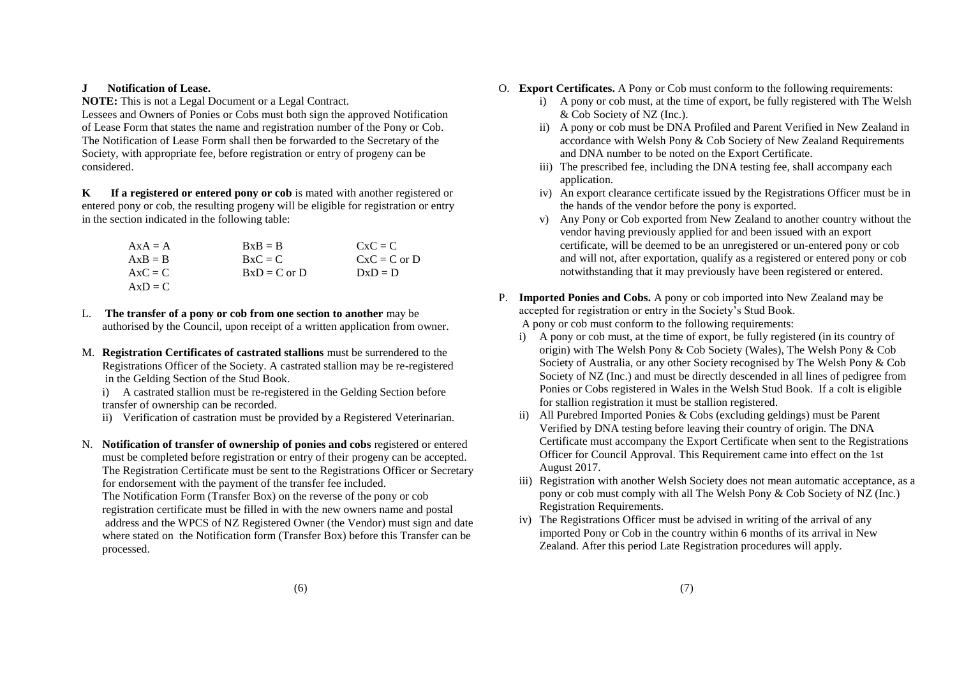## **J Notification of Lease.**

**NOTE:** This is not a Legal Document or a Legal Contract.

Lessees and Owners of Ponies or Cobs must both sign the approved Notification of Lease Form that states the name and registration number of the Pony or Cob. The Notification of Lease Form shall then be forwarded to the Secretary of the Society, with appropriate fee, before registration or entry of progeny can be considered.

**K If a registered or entered pony or cob** is mated with another registered or entered pony or cob, the resulting progeny will be eligible for registration or entry in the section indicated in the following table:

| $A x A = A$ | $RxB = B$        | $CxC = C$      |
|-------------|------------------|----------------|
| $AxB = B$   | $RxC = C$        | $CxC = C$ or D |
| $AxC = C$   | $BxD = C$ or $D$ | $DxD = D$      |
| $AxD = C$   |                  |                |

L. **The transfer of a pony or cob from one section to another** may be authorised by the Council, upon receipt of a written application from owner.

M. **Registration Certificates of castrated stallions** must be surrendered to the Registrations Officer of the Society. A castrated stallion may be re-registered in the Gelding Section of the Stud Book.

i) A castrated stallion must be re-registered in the Gelding Section before transfer of ownership can be recorded.

- ii) Verification of castration must be provided by a Registered Veterinarian.
- N. **Notification of transfer of ownership of ponies and cobs** registered or entered must be completed before registration or entry of their progeny can be accepted. The Registration Certificate must be sent to the Registrations Officer or Secretary for endorsement with the payment of the transfer fee included. The Notification Form (Transfer Box) on the reverse of the pony or cob

registration certificate must be filled in with the new owners name and postal address and the WPCS of NZ Registered Owner (the Vendor) must sign and date where stated on the Notification form (Transfer Box) before this Transfer can be processed.

- O. **Export Certificates.** A Pony or Cob must conform to the following requirements:
	- i) A pony or cob must, at the time of export, be fully registered with The Welsh & Cob Society of NZ (Inc.).
	- ii) A pony or cob must be DNA Profiled and Parent Verified in New Zealand in accordance with Welsh Pony & Cob Society of New Zealand Requirements and DNA number to be noted on the Export Certificate.
	- iii) The prescribed fee, including the DNA testing fee, shall accompany each application.
	- iv) An export clearance certificate issued by the Registrations Officer must be in the hands of the vendor before the pony is exported.
	- v) Any Pony or Cob exported from New Zealand to another country without the vendor having previously applied for and been issued with an export certificate, will be deemed to be an unregistered or un-entered pony or cob and will not, after exportation, qualify as a registered or entered pony or cob notwithstanding that it may previously have been registered or entered.
- P. **Imported Ponies and Cobs.** A pony or cob imported into New Zealand may be accepted for registration or entry in the Society"s Stud Book.

A pony or cob must conform to the following requirements:

- i) A pony or cob must, at the time of export, be fully registered (in its country of origin) with The Welsh Pony & Cob Society (Wales), The Welsh Pony & Cob Society of Australia, or any other Society recognised by The Welsh Pony & Cob Society of NZ (Inc.) and must be directly descended in all lines of pedigree from Ponies or Cobs registered in Wales in the Welsh Stud Book. If a colt is eligible for stallion registration it must be stallion registered.
- ii) All Purebred Imported Ponies & Cobs (excluding geldings) must be Parent Verified by DNA testing before leaving their country of origin. The DNA Certificate must accompany the Export Certificate when sent to the Registrations Officer for Council Approval. This Requirement came into effect on the 1st August 2017.
- iii) Registration with another Welsh Society does not mean automatic acceptance, as a pony or cob must comply with all The Welsh Pony & Cob Society of NZ (Inc.) Registration Requirements.
- iv) The Registrations Officer must be advised in writing of the arrival of any imported Pony or Cob in the country within 6 months of its arrival in New Zealand. After this period Late Registration procedures will apply.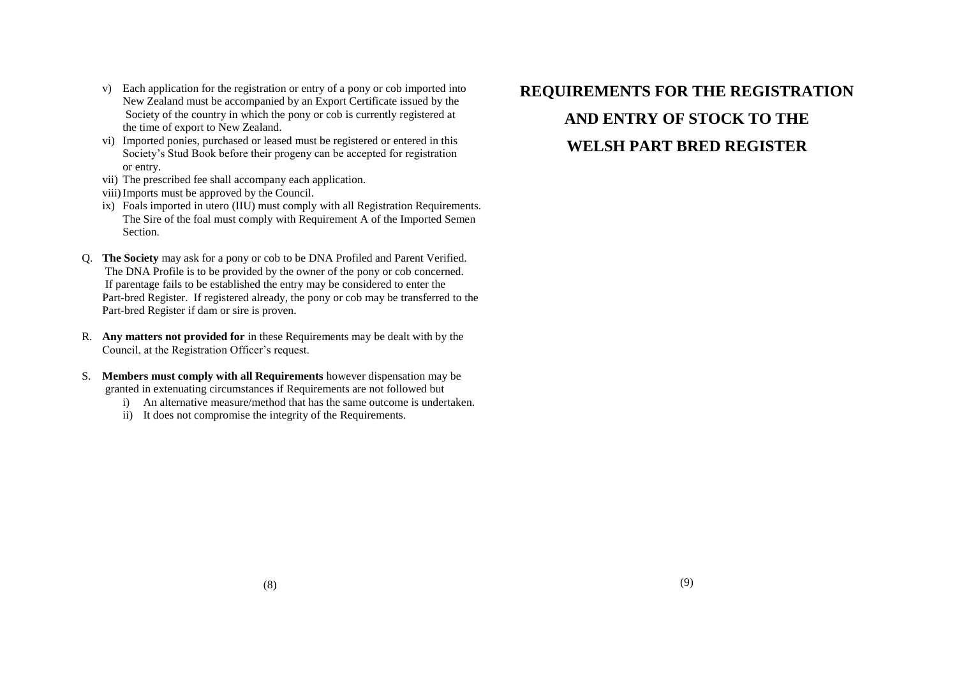- v) Each application for the registration or entry of a pony or cob imported into New Zealand must be accompanied by an Export Certificate issued by the Society of the country in which the pony or cob is currently registered at the time of export to New Zealand.
- vi) Imported ponies, purchased or leased must be registered or entered in this Society"s Stud Book before their progeny can be accepted for registration or entry.
- vii) The prescribed fee shall accompany each application.
- viii)Imports must be approved by the Council.
- ix) Foals imported in utero (IIU) must comply with all Registration Requirements. The Sire of the foal must comply with Requirement A of the Imported Semen **Section**
- Q. **The Society** may ask for a pony or cob to be DNA Profiled and Parent Verified. The DNA Profile is to be provided by the owner of the pony or cob concerned. If parentage fails to be established the entry may be considered to enter the Part-bred Register. If registered already, the pony or cob may be transferred to the Part-bred Register if dam or sire is proven.
- R. **Any matters not provided for** in these Requirements may be dealt with by the Council, at the Registration Officer's request.
- S. **Members must comply with all Requirements** however dispensation may be granted in extenuating circumstances if Requirements are not followed but
	- i) An alternative measure/method that has the same outcome is undertaken.
	- ii) It does not compromise the integrity of the Requirements.

# **REQUIREMENTS FOR THE REGISTRATION AND ENTRY OF STOCK TO THE WELSH PART BRED REGISTER**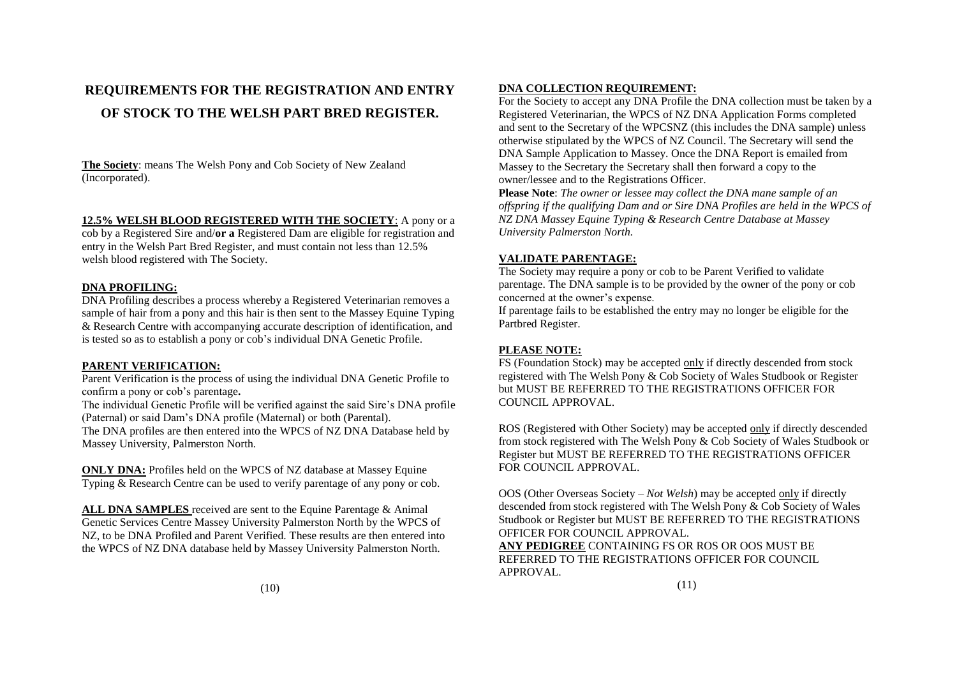# **REQUIREMENTS FOR THE REGISTRATION AND ENTRY OF STOCK TO THE WELSH PART BRED REGISTER.**

**The Society**: means The Welsh Pony and Cob Society of New Zealand (Incorporated).

## **12.5% WELSH BLOOD REGISTERED WITH THE SOCIETY**: A pony or a

cob by a Registered Sire and/**or a** Registered Dam are eligible for registration and entry in the Welsh Part Bred Register, and must contain not less than 12.5% welsh blood registered with The Society.

## **DNA PROFILING:**

DNA Profiling describes a process whereby a Registered Veterinarian removes a sample of hair from a pony and this hair is then sent to the Massey Equine Typing & Research Centre with accompanying accurate description of identification, and is tested so as to establish a pony or cob's individual DNA Genetic Profile.

## **PARENT VERIFICATION:**

Parent Verification is the process of using the individual DNA Genetic Profile to confirm a pony or cob"s parentage**.**

The individual Genetic Profile will be verified against the said Sire"s DNA profile (Paternal) or said Dam"s DNA profile (Maternal) or both (Parental).

The DNA profiles are then entered into the WPCS of NZ DNA Database held by Massey University, Palmerston North.

**ONLY DNA:** Profiles held on the WPCS of NZ database at Massey Equine Typing & Research Centre can be used to verify parentage of any pony or cob.

**ALL DNA SAMPLES** received are sent to the Equine Parentage & Animal Genetic Services Centre Massey University Palmerston North by the WPCS of NZ, to be DNA Profiled and Parent Verified. These results are then entered into the WPCS of NZ DNA database held by Massey University Palmerston North.

## **DNA COLLECTION REQUIREMENT:**

For the Society to accept any DNA Profile the DNA collection must be taken by a Registered Veterinarian, the WPCS of NZ DNA Application Forms completed and sent to the Secretary of the WPCSNZ (this includes the DNA sample) unless otherwise stipulated by the WPCS of NZ Council. The Secretary will send the DNA Sample Application to Massey. Once the DNA Report is emailed from Massey to the Secretary the Secretary shall then forward a copy to the owner/lessee and to the Registrations Officer.

**Please Note**: *The owner or lessee may collect the DNA mane sample of an offspring if the qualifying Dam and or Sire DNA Profiles are held in the WPCS of NZ DNA Massey Equine Typing & Research Centre Database at Massey University Palmerston North.*

## **VALIDATE PARENTAGE:**

The Society may require a pony or cob to be Parent Verified to validate parentage. The DNA sample is to be provided by the owner of the pony or cob concerned at the owner's expense.

If parentage fails to be established the entry may no longer be eligible for the Partbred Register.

# **PLEASE NOTE:**

FS (Foundation Stock) may be accepted only if directly descended from stock registered with The Welsh Pony & Cob Society of Wales Studbook or Register but MUST BE REFERRED TO THE REGISTRATIONS OFFICER FOR COUNCIL APPROVAL.

ROS (Registered with Other Society) may be accepted only if directly descended from stock registered with The Welsh Pony & Cob Society of Wales Studbook or Register but MUST BE REFERRED TO THE REGISTRATIONS OFFICER FOR COUNCIL APPROVAL.

OOS (Other Overseas Society – *Not Welsh*) may be accepted only if directly descended from stock registered with The Welsh Pony & Cob Society of Wales Studbook or Register but MUST BE REFERRED TO THE REGISTRATIONS OFFICER FOR COUNCIL APPROVAL.

**ANY PEDIGREE** CONTAINING FS OR ROS OR OOS MUST BE REFERRED TO THE REGISTRATIONS OFFICER FOR COUNCIL APPROVAL.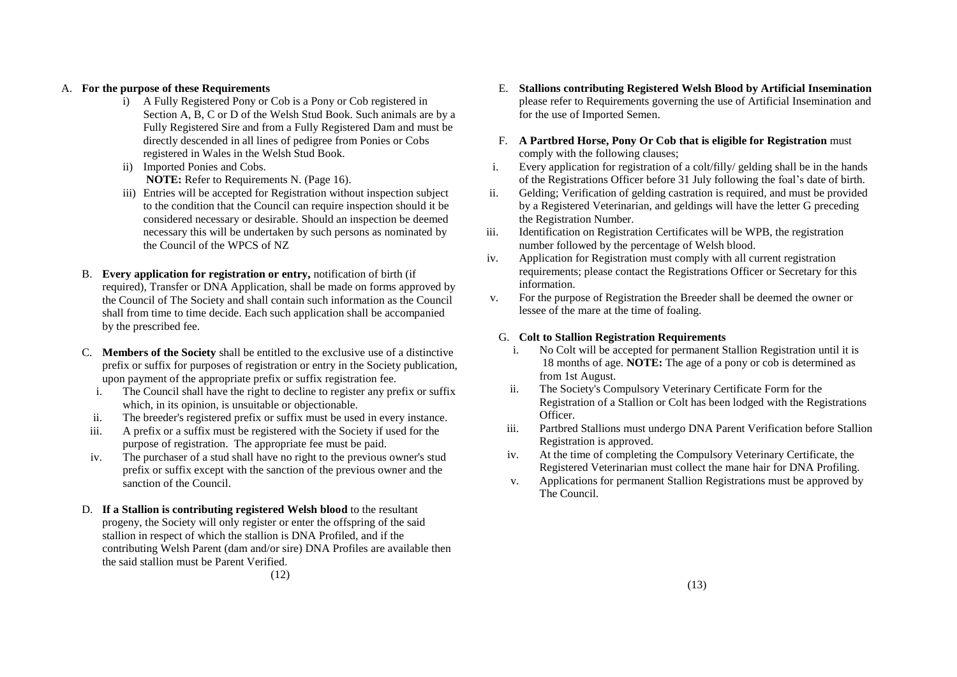## A. **For the purpose of these Requirements**

- i) A Fully Registered Pony or Cob is a Pony or Cob registered in Section A, B, C or D of the Welsh Stud Book. Such animals are by a Fully Registered Sire and from a Fully Registered Dam and must be directly descended in all lines of pedigree from Ponies or Cobs registered in Wales in the Welsh Stud Book.
- ii) Imported Ponies and Cobs. **NOTE:** Refer to Requirements N. (Page 16).
- iii) Entries will be accepted for Registration without inspection subject to the condition that the Council can require inspection should it be considered necessary or desirable. Should an inspection be deemed necessary this will be undertaken by such persons as nominated by the Council of the WPCS of NZ
- B. **Every application for registration or entry,** notification of birth (if required), Transfer or DNA Application, shall be made on forms approved by the Council of The Society and shall contain such information as the Council shall from time to time decide. Each such application shall be accompanied by the prescribed fee.
- C. **Members of the Society** shall be entitled to the exclusive use of a distinctive prefix or suffix for purposes of registration or entry in the Society publication, upon payment of the appropriate prefix or suffix registration fee.
	- i. The Council shall have the right to decline to register any prefix or suffix which, in its opinion, is unsuitable or objectionable.
	- ii. The breeder's registered prefix or suffix must be used in every instance.
- iii. A prefix or a suffix must be registered with the Society if used for the purpose of registration. The appropriate fee must be paid.
- iv. The purchaser of a stud shall have no right to the previous owner's stud prefix or suffix except with the sanction of the previous owner and the sanction of the Council.
- D. **If a Stallion is contributing registered Welsh blood** to the resultant progeny, the Society will only register or enter the offspring of the said stallion in respect of which the stallion is DNA Profiled, and if the contributing Welsh Parent (dam and/or sire) DNA Profiles are available then the said stallion must be Parent Verified. (12)
- E. **Stallions contributing Registered Welsh Blood by Artificial Insemination** please refer to Requirements governing the use of Artificial Insemination and for the use of Imported Semen.
- F. **A Partbred Horse, Pony Or Cob that is eligible for Registration** must comply with the following clauses;
- i. Every application for registration of a colt/filly/ gelding shall be in the hands of the Registrations Officer before 31 July following the foal"s date of birth.
- ii. Gelding; Verification of gelding castration is required, and must be provided by a Registered Veterinarian, and geldings will have the letter G preceding the Registration Number.
- iii. Identification on Registration Certificates will be WPB, the registration number followed by the percentage of Welsh blood.
- iv. Application for Registration must comply with all current registration requirements; please contact the Registrations Officer or Secretary for this information.
- v. For the purpose of Registration the Breeder shall be deemed the owner or lessee of the mare at the time of foaling.

## G. **Colt to Stallion Registration Requirements**

- i. No Colt will be accepted for permanent Stallion Registration until it is 18 months of age. **NOTE:** The age of a pony or cob is determined as from 1st August.
- ii. The Society's Compulsory Veterinary Certificate Form for the Registration of a Stallion or Colt has been lodged with the Registrations Officer.
- iii. Partbred Stallions must undergo DNA Parent Verification before Stallion Registration is approved.
- iv. At the time of completing the Compulsory Veterinary Certificate, the Registered Veterinarian must collect the mane hair for DNA Profiling.
- v. Applications for permanent Stallion Registrations must be approved by The Council.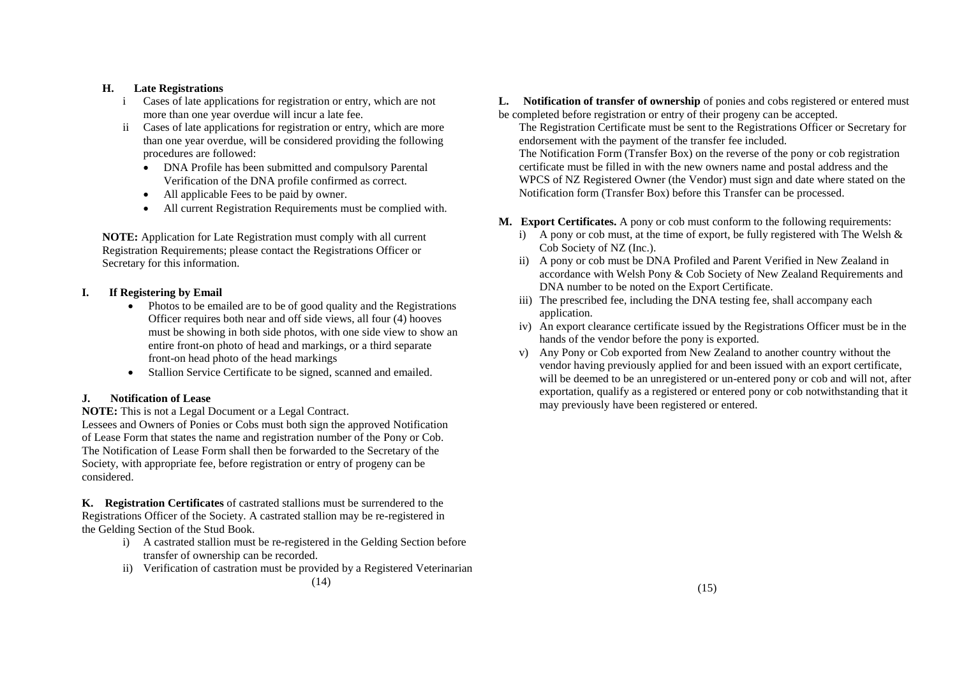# **H. Late Registrations**

- i Cases of late applications for registration or entry, which are not more than one year overdue will incur a late fee.
- ii Cases of late applications for registration or entry, which are more than one year overdue, will be considered providing the following procedures are followed:
	- DNA Profile has been submitted and compulsory Parental Verification of the DNA profile confirmed as correct.
	- All applicable Fees to be paid by owner.
	- All current Registration Requirements must be complied with.

**NOTE:** Application for Late Registration must comply with all current Registration Requirements; please contact the Registrations Officer or Secretary for this information.

# **I. If Registering by Email**

- Photos to be emailed are to be of good quality and the Registrations Officer requires both near and off side views, all four (4) hooves must be showing in both side photos, with one side view to show an entire front-on photo of head and markings, or a third separate front-on head photo of the head markings
- Stallion Service Certificate to be signed, scanned and emailed.

# **J. Notification of Lease**

**NOTE:** This is not a Legal Document or a Legal Contract.

Lessees and Owners of Ponies or Cobs must both sign the approved Notification of Lease Form that states the name and registration number of the Pony or Cob. The Notification of Lease Form shall then be forwarded to the Secretary of the Society, with appropriate fee, before registration or entry of progeny can be considered.

**K. Registration Certificates** of castrated stallions must be surrendered to the Registrations Officer of the Society. A castrated stallion may be re-registered in the Gelding Section of the Stud Book.

- i) A castrated stallion must be re-registered in the Gelding Section before transfer of ownership can be recorded.
- ii) Verification of castration must be provided by a Registered Veterinarian

**L.** Notification of transfer of ownership of ponies and cobs registered or entered must be completed before registration or entry of their progeny can be accepted.

The Registration Certificate must be sent to the Registrations Officer or Secretary for endorsement with the payment of the transfer fee included.

The Notification Form (Transfer Box) on the reverse of the pony or cob registration certificate must be filled in with the new owners name and postal address and the WPCS of NZ Registered Owner (the Vendor) must sign and date where stated on the Notification form (Transfer Box) before this Transfer can be processed.

- **M. Export Certificates.** A pony or cob must conform to the following requirements:
	- i) A pony or cob must, at the time of export, be fully registered with The Welsh  $\&$ Cob Society of NZ (Inc.).
	- ii) A pony or cob must be DNA Profiled and Parent Verified in New Zealand in accordance with Welsh Pony & Cob Society of New Zealand Requirements and DNA number to be noted on the Export Certificate.
	- iii) The prescribed fee, including the DNA testing fee, shall accompany each application.
	- iv) An export clearance certificate issued by the Registrations Officer must be in the hands of the vendor before the pony is exported.
	- v) Any Pony or Cob exported from New Zealand to another country without the vendor having previously applied for and been issued with an export certificate, will be deemed to be an unregistered or un-entered pony or cob and will not, after exportation, qualify as a registered or entered pony or cob notwithstanding that it may previously have been registered or entered.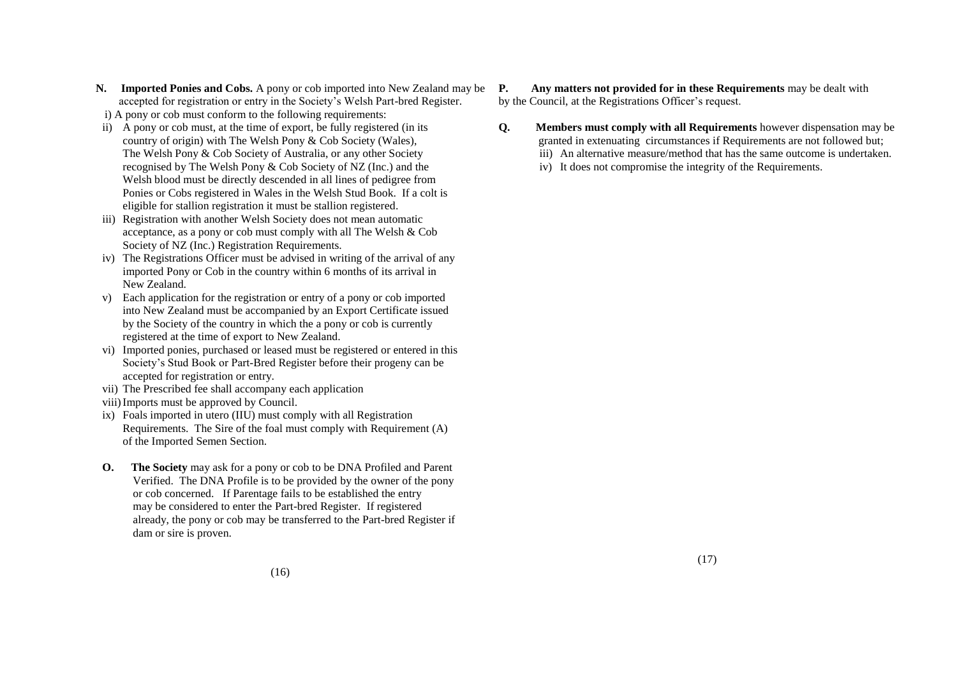- **N. Imported Ponies and Cobs.** A pony or cob imported into New Zealand may be accepted for registration or entry in the Society"s Welsh Part-bred Register.
- i) A pony or cob must conform to the following requirements:
- ii) A pony or cob must, at the time of export, be fully registered (in its country of origin) with The Welsh Pony & Cob Society (Wales), The Welsh Pony & Cob Society of Australia, or any other Society recognised by The Welsh Pony & Cob Society of NZ (Inc.) and the Welsh blood must be directly descended in all lines of pedigree from Ponies or Cobs registered in Wales in the Welsh Stud Book. If a colt is eligible for stallion registration it must be stallion registered.
- iii) Registration with another Welsh Society does not mean automatic acceptance, as a pony or cob must comply with all The Welsh & Cob Society of NZ (Inc.) Registration Requirements.
- iv) The Registrations Officer must be advised in writing of the arrival of any imported Pony or Cob in the country within 6 months of its arrival in New Zealand.
- v) Each application for the registration or entry of a pony or cob imported into New Zealand must be accompanied by an Export Certificate issued by the Society of the country in which the a pony or cob is currently registered at the time of export to New Zealand.
- vi) Imported ponies, purchased or leased must be registered or entered in this Society"s Stud Book or Part-Bred Register before their progeny can be accepted for registration or entry.
- vii) The Prescribed fee shall accompany each application
- viii)Imports must be approved by Council.
- ix) Foals imported in utero (IIU) must comply with all Registration Requirements. The Sire of the foal must comply with Requirement (A) of the Imported Semen Section.
- **O. The Society** may ask for a pony or cob to be DNA Profiled and Parent Verified. The DNA Profile is to be provided by the owner of the pony or cob concerned. If Parentage fails to be established the entry may be considered to enter the Part-bred Register. If registered already, the pony or cob may be transferred to the Part-bred Register if dam or sire is proven.

**P. Any matters not provided for in these Requirements** may be dealt with by the Council, at the Registrations Officer's request.

- **Q. Members must comply with all Requirements** however dispensation may be granted in extenuating circumstances if Requirements are not followed but;
	- iii) An alternative measure/method that has the same outcome is undertaken.
	- iv) It does not compromise the integrity of the Requirements.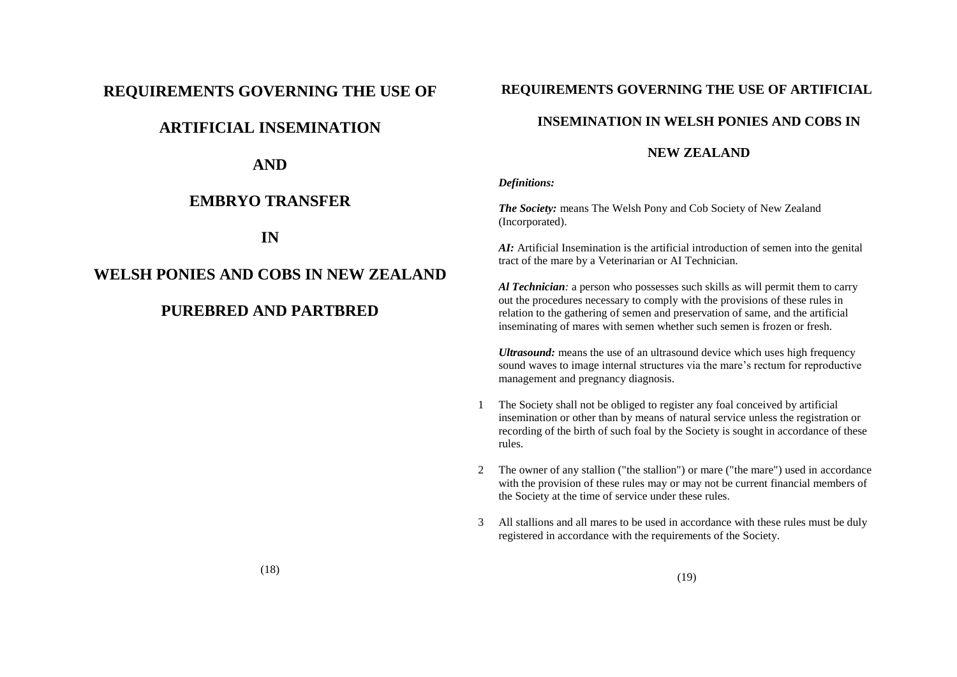# **REQUIREMENTS GOVERNING THE USE OF**

# **ARTIFICIAL INSEMINATION**

**AND**

# **EMBRYO TRANSFER**

**IN** 

# **WELSH PONIES AND COBS IN NEW ZEALAND**

# **PUREBRED AND PARTBRED**

# **REQUIREMENTS GOVERNING THE USE OF ARTIFICIAL**

# **INSEMINATION IN WELSH PONIES AND COBS IN**

# **NEW ZEALAND**

*Definitions:* 

*The Society:* means The Welsh Pony and Cob Society of New Zealand (Incorporated).

*AI:* Artificial Insemination is the artificial introduction of semen into the genital tract of the mare by a Veterinarian or AI Technician.

*Al Technician:* a person who possesses such skills as will permit them to carry out the procedures necessary to comply with the provisions of these rules in relation to the gathering of semen and preservation of same, and the artificial inseminating of mares with semen whether such semen is frozen or fresh.

*Ultrasound:* means the use of an ultrasound device which uses high frequency sound waves to image internal structures via the mare"s rectum for reproductive management and pregnancy diagnosis.

- 1 The Society shall not be obliged to register any foal conceived by artificial insemination or other than by means of natural service unless the registration or recording of the birth of such foal by the Society is sought in accordance of these rules.
- 2 The owner of any stallion ("the stallion") or mare ("the mare") used in accordance with the provision of these rules may or may not be current financial members of the Society at the time of service under these rules.
- 3 All stallions and all mares to be used in accordance with these rules must be duly registered in accordance with the requirements of the Society.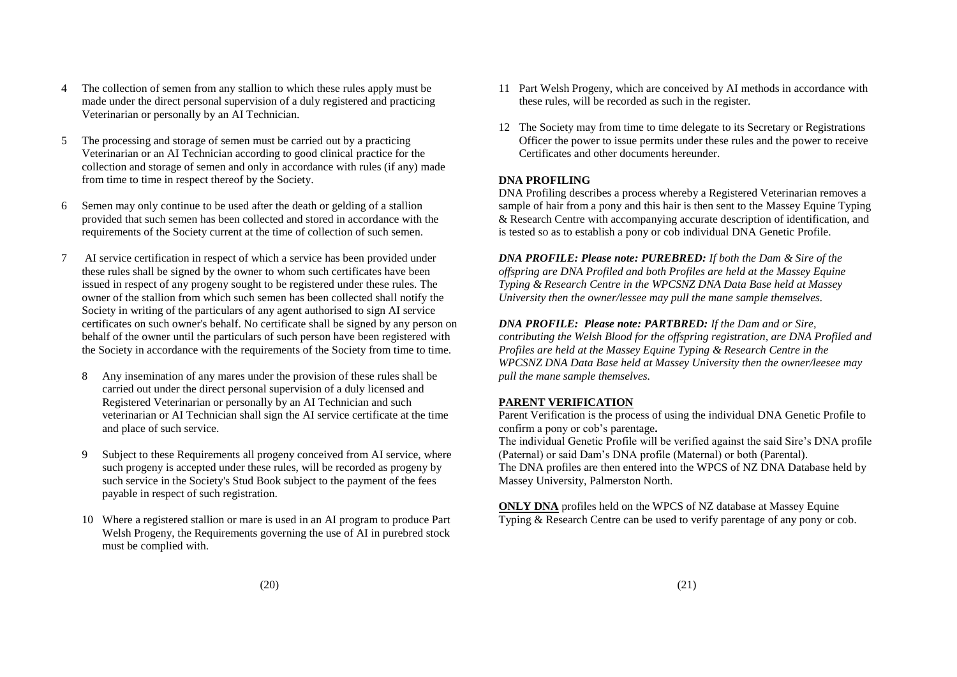- 4 The collection of semen from any stallion to which these rules apply must be made under the direct personal supervision of a duly registered and practicing Veterinarian or personally by an AI Technician.
- 5 The processing and storage of semen must be carried out by a practicing Veterinarian or an AI Technician according to good clinical practice for the collection and storage of semen and only in accordance with rules (if any) made from time to time in respect thereof by the Society.
- 6 Semen may only continue to be used after the death or gelding of a stallion provided that such semen has been collected and stored in accordance with the requirements of the Society current at the time of collection of such semen.
- 7 AI service certification in respect of which a service has been provided under these rules shall be signed by the owner to whom such certificates have been issued in respect of any progeny sought to be registered under these rules. The owner of the stallion from which such semen has been collected shall notify the Society in writing of the particulars of any agent authorised to sign AI service certificates on such owner's behalf. No certificate shall be signed by any person on behalf of the owner until the particulars of such person have been registered with the Society in accordance with the requirements of the Society from time to time.
	- 8 Any insemination of any mares under the provision of these rules shall be carried out under the direct personal supervision of a duly licensed and Registered Veterinarian or personally by an AI Technician and such veterinarian or AI Technician shall sign the AI service certificate at the time and place of such service.
	- 9 Subject to these Requirements all progeny conceived from AI service, where such progeny is accepted under these rules, will be recorded as progeny by such service in the Society's Stud Book subject to the payment of the fees payable in respect of such registration.
	- 10 Where a registered stallion or mare is used in an AI program to produce Part Welsh Progeny, the Requirements governing the use of AI in purebred stock must be complied with.
- 11 Part Welsh Progeny, which are conceived by AI methods in accordance with these rules, will be recorded as such in the register.
- 12 The Society may from time to time delegate to its Secretary or Registrations Officer the power to issue permits under these rules and the power to receive Certificates and other documents hereunder.

# **DNA PROFILING**

DNA Profiling describes a process whereby a Registered Veterinarian removes a sample of hair from a pony and this hair is then sent to the Massey Equine Typing & Research Centre with accompanying accurate description of identification, and is tested so as to establish a pony or cob individual DNA Genetic Profile.

*DNA PROFILE: Please note: PUREBRED: If both the Dam & Sire of the offspring are DNA Profiled and both Profiles are held at the Massey Equine Typing & Research Centre in the WPCSNZ DNA Data Base held at Massey University then the owner/lessee may pull the mane sample themselves.*

*DNA PROFILE: Please note: PARTBRED: If the Dam and or Sire, contributing the Welsh Blood for the offspring registration, are DNA Profiled and Profiles are held at the Massey Equine Typing & Research Centre in the WPCSNZ DNA Data Base held at Massey University then the owner/leesee may pull the mane sample themselves.*

# **PARENT VERIFICATION**

Parent Verification is the process of using the individual DNA Genetic Profile to confirm a pony or cob"s parentage**.**

The individual Genetic Profile will be verified against the said Sire"s DNA profile (Paternal) or said Dam"s DNA profile (Maternal) or both (Parental). The DNA profiles are then entered into the WPCS of NZ DNA Database held by Massey University, Palmerston North.

**ONLY DNA** profiles held on the WPCS of NZ database at Massey Equine Typing & Research Centre can be used to verify parentage of any pony or cob.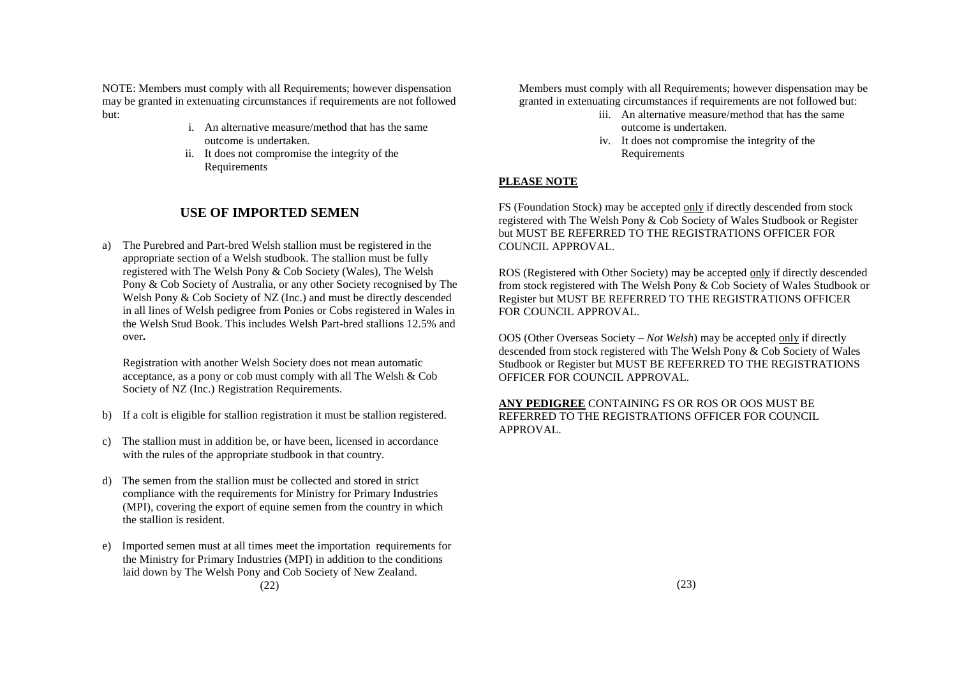NOTE: Members must comply with all Requirements; however dispensation may be granted in extenuating circumstances if requirements are not followed but:

- i. An alternative measure/method that has the same outcome is undertaken.
- ii. It does not compromise the integrity of the Requirements

# **USE OF IMPORTED SEMEN**

a) The Purebred and Part-bred Welsh stallion must be registered in the appropriate section of a Welsh studbook. The stallion must be fully registered with The Welsh Pony & Cob Society (Wales), The Welsh Pony & Cob Society of Australia, or any other Society recognised by The Welsh Pony & Cob Society of NZ (Inc.) and must be directly descended in all lines of Welsh pedigree from Ponies or Cobs registered in Wales in the Welsh Stud Book. This includes Welsh Part-bred stallions 12.5% and over*.* 

Registration with another Welsh Society does not mean automatic acceptance, as a pony or cob must comply with all The Welsh & Cob Society of NZ (Inc.) Registration Requirements.

- b) If a colt is eligible for stallion registration it must be stallion registered.
- c) The stallion must in addition be, or have been, licensed in accordance with the rules of the appropriate studbook in that country.
- d) The semen from the stallion must be collected and stored in strict compliance with the requirements for Ministry for Primary Industries (MPI), covering the export of equine semen from the country in which the stallion is resident.
- e) Imported semen must at all times meet the importation requirements for the Ministry for Primary Industries (MPI) in addition to the conditions laid down by The Welsh Pony and Cob Society of New Zealand. (22)

Members must comply with all Requirements; however dispensation may be granted in extenuating circumstances if requirements are not followed but:

- iii. An alternative measure/method that has the same outcome is undertaken.
- iv. It does not compromise the integrity of the Requirements

# **PLEASE NOTE**

FS (Foundation Stock) may be accepted only if directly descended from stock registered with The Welsh Pony & Cob Society of Wales Studbook or Register but MUST BE REFERRED TO THE REGISTRATIONS OFFICER FOR COUNCIL APPROVAL.

ROS (Registered with Other Society) may be accepted only if directly descended from stock registered with The Welsh Pony & Cob Society of Wales Studbook or Register but MUST BE REFERRED TO THE REGISTRATIONS OFFICER FOR COUNCIL APPROVAL.

OOS (Other Overseas Society – *Not Welsh*) may be accepted only if directly descended from stock registered with The Welsh Pony & Cob Society of Wales Studbook or Register but MUST BE REFERRED TO THE REGISTRATIONS OFFICER FOR COUNCIL APPROVAL.

**ANY PEDIGREE** CONTAINING FS OR ROS OR OOS MUST BE REFERRED TO THE REGISTRATIONS OFFICER FOR COUNCIL APPROVAL.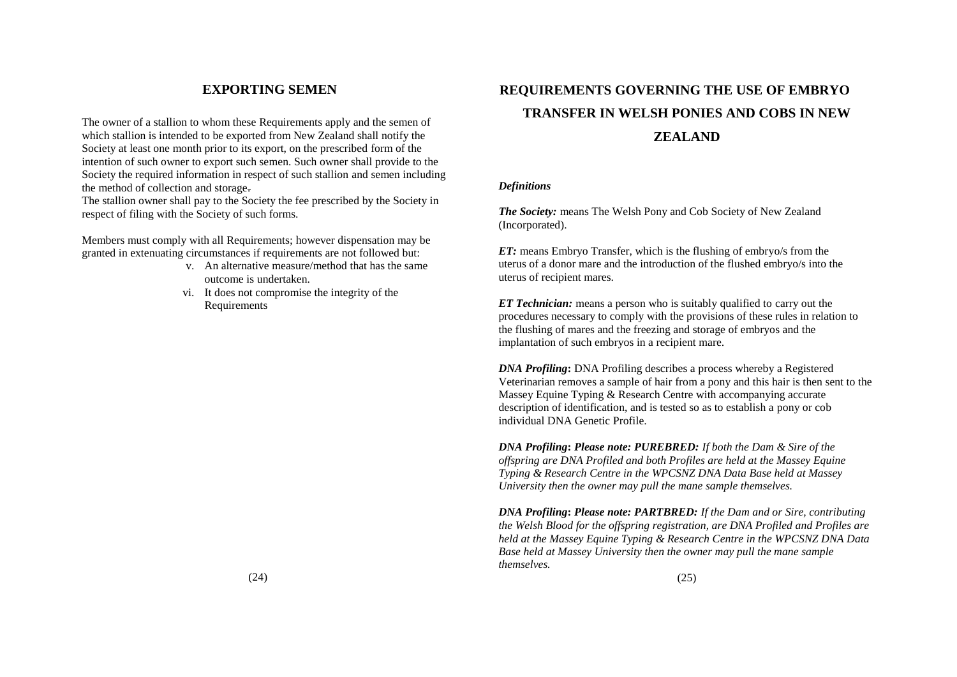# **EXPORTING SEMEN**

The owner of a stallion to whom these Requirements apply and the semen of which stallion is intended to be exported from New Zealand shall notify the Society at least one month prior to its export, on the prescribed form of the intention of such owner to export such semen. Such owner shall provide to the Society the required information in respect of such stallion and semen including the method of collection and storage.

The stallion owner shall pay to the Society the fee prescribed by the Society in respect of filing with the Society of such forms.

Members must comply with all Requirements; however dispensation may be granted in extenuating circumstances if requirements are not followed but:

- v. An alternative measure/method that has the same outcome is undertaken.
- vi. It does not compromise the integrity of the Requirements

# **REQUIREMENTS GOVERNING THE USE OF EMBRYO TRANSFER IN WELSH PONIES AND COBS IN NEW ZEALAND**

## *Definitions*

*The Society:* means The Welsh Pony and Cob Society of New Zealand (Incorporated).

*ET:* means Embryo Transfer, which is the flushing of embryo/s from the uterus of a donor mare and the introduction of the flushed embryo/s into the uterus of recipient mares.

*ET Technician:* means a person who is suitably qualified to carry out the procedures necessary to comply with the provisions of these rules in relation to the flushing of mares and the freezing and storage of embryos and the implantation of such embryos in a recipient mare.

*DNA Profiling***:** DNA Profiling describes a process whereby a Registered Veterinarian removes a sample of hair from a pony and this hair is then sent to the Massey Equine Typing & Research Centre with accompanying accurate description of identification, and is tested so as to establish a pony or cob individual DNA Genetic Profile.

*DNA Profiling***:** *Please note: PUREBRED: If both the Dam & Sire of the offspring are DNA Profiled and both Profiles are held at the Massey Equine Typing & Research Centre in the WPCSNZ DNA Data Base held at Massey University then the owner may pull the mane sample themselves.*

*DNA Profiling***:** *Please note: PARTBRED: If the Dam and or Sire, contributing the Welsh Blood for the offspring registration, are DNA Profiled and Profiles are held at the Massey Equine Typing & Research Centre in the WPCSNZ DNA Data Base held at Massey University then the owner may pull the mane sample themselves.*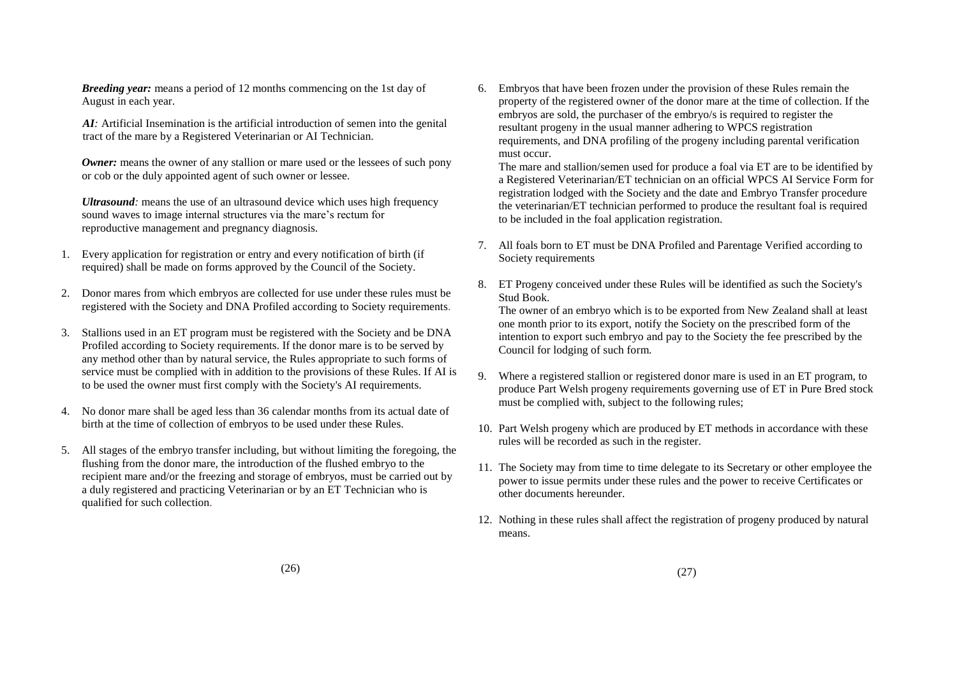*Breeding year:* means a period of 12 months commencing on the 1st day of August in each year.

*AI:* Artificial Insemination is the artificial introduction of semen into the genital tract of the mare by a Registered Veterinarian or AI Technician.

*Owner:* means the owner of any stallion or mare used or the lessees of such pony or cob or the duly appointed agent of such owner or lessee.

*Ultrasound*: means the use of an ultrasound device which uses high frequency sound waves to image internal structures via the mare"s rectum for reproductive management and pregnancy diagnosis.

- 1. Every application for registration or entry and every notification of birth (if required) shall be made on forms approved by the Council of the Society.
- 2. Donor mares from which embryos are collected for use under these rules must be registered with the Society and DNA Profiled according to Society requirements.
- 3. Stallions used in an ET program must be registered with the Society and be DNA Profiled according to Society requirements. If the donor mare is to be served by any method other than by natural service, the Rules appropriate to such forms of service must be complied with in addition to the provisions of these Rules. If AI is to be used the owner must first comply with the Society's AI requirements.
- 4. No donor mare shall be aged less than 36 calendar months from its actual date of birth at the time of collection of embryos to be used under these Rules.
- 5. All stages of the embryo transfer including, but without limiting the foregoing, the flushing from the donor mare, the introduction of the flushed embryo to the recipient mare and/or the freezing and storage of embryos, must be carried out by a duly registered and practicing Veterinarian or by an ET Technician who is qualified for such collection.

6. Embryos that have been frozen under the provision of these Rules remain the property of the registered owner of the donor mare at the time of collection. If the embryos are sold, the purchaser of the embryo/s is required to register the resultant progeny in the usual manner adhering to WPCS registration requirements, and DNA profiling of the progeny including parental verification must occur.

The mare and stallion/semen used for produce a foal via ET are to be identified by a Registered Veterinarian/ET technician on an official WPCS AI Service Form for registration lodged with the Society and the date and Embryo Transfer procedure the veterinarian/ET technician performed to produce the resultant foal is required to be included in the foal application registration.

- 7. All foals born to ET must be DNA Profiled and Parentage Verified according to Society requirements
- 8. ET Progeny conceived under these Rules will be identified as such the Society's Stud Book.

The owner of an embryo which is to be exported from New Zealand shall at least one month prior to its export, notify the Society on the prescribed form of the intention to export such embryo and pay to the Society the fee prescribed by the Council for lodging of such form.

- 9. Where a registered stallion or registered donor mare is used in an ET program, to produce Part Welsh progeny requirements governing use of ET in Pure Bred stock must be complied with, subject to the following rules;
- 10. Part Welsh progeny which are produced by ET methods in accordance with these rules will be recorded as such in the register.
- 11. The Society may from time to time delegate to its Secretary or other employee the power to issue permits under these rules and the power to receive Certificates or other documents hereunder.
- 12. Nothing in these rules shall affect the registration of progeny produced by natural means.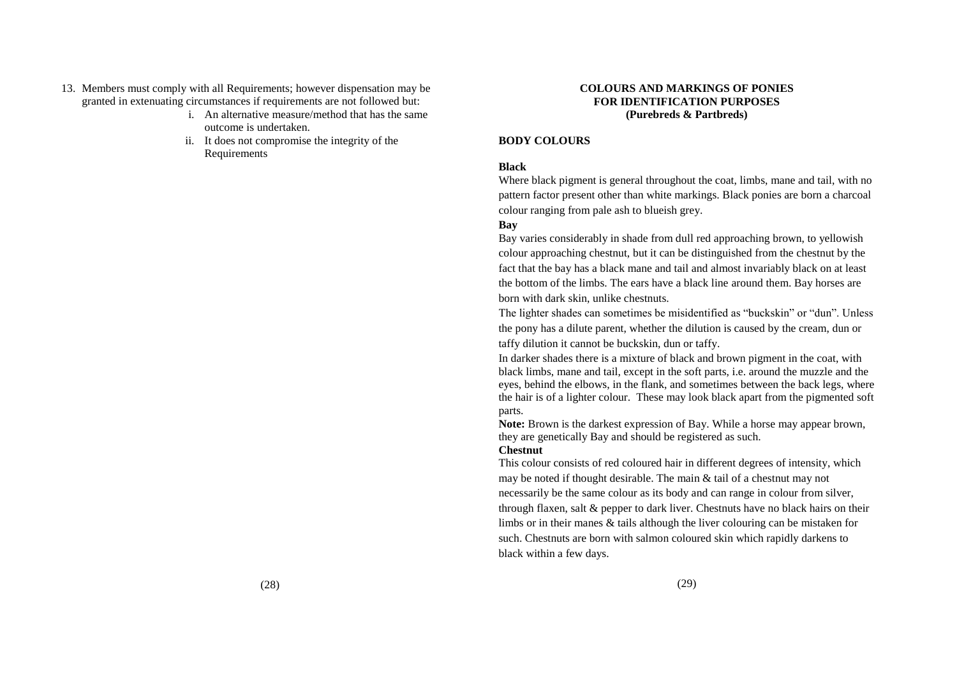- 13. Members must comply with all Requirements; however dispensation may be granted in extenuating circumstances if requirements are not followed but:
	- i. An alternative measure/method that has the same outcome is undertaken.
	- ii. It does not compromise the integrity of the Requirements

## **COLOURS AND MARKINGS OF PONIES FOR IDENTIFICATION PURPOSES (Purebreds & Partbreds)**

## **BODY COLOURS**

# **Black**

Where black pigment is general throughout the coat, limbs, mane and tail, with no pattern factor present other than white markings. Black ponies are born a charcoal colour ranging from pale ash to blueish grey.

# **Bay**

Bay varies considerably in shade from dull red approaching brown, to yellowish colour approaching chestnut, but it can be distinguished from the chestnut by the fact that the bay has a black mane and tail and almost invariably black on at least the bottom of the limbs. The ears have a black line around them. Bay horses are born with dark skin, unlike chestnuts.

The lighter shades can sometimes be misidentified as "buckskin" or "dun". Unless the pony has a dilute parent, whether the dilution is caused by the cream, dun or taffy dilution it cannot be buckskin, dun or taffy.

In darker shades there is a mixture of black and brown pigment in the coat, with black limbs, mane and tail, except in the soft parts, i.e. around the muzzle and the eyes, behind the elbows, in the flank, and sometimes between the back legs, where the hair is of a lighter colour. These may look black apart from the pigmented soft parts.

**Note:** Brown is the darkest expression of Bay. While a horse may appear brown, they are genetically Bay and should be registered as such.

## **Chestnut**

This colour consists of red coloured hair in different degrees of intensity, which may be noted if thought desirable. The main & tail of a chestnut may not necessarily be the same colour as its body and can range in colour from silver, through flaxen, salt & pepper to dark liver. Chestnuts have no black hairs on their limbs or in their manes & tails although the liver colouring can be mistaken for such. Chestnuts are born with salmon coloured skin which rapidly darkens to black within a few days.

(28)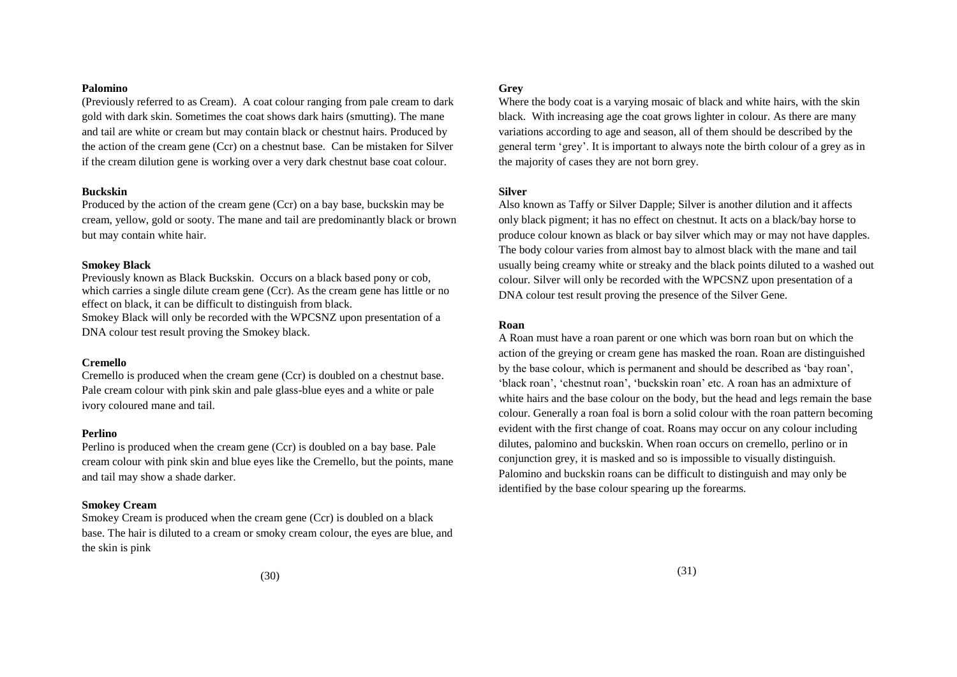## **Palomino**

(Previously referred to as Cream). A coat colour ranging from pale cream to dark gold with dark skin. Sometimes the coat shows dark hairs (smutting). The mane and tail are white or cream but may contain black or chestnut hairs. Produced by the action of the cream gene (Ccr) on a chestnut base. Can be mistaken for Silver if the cream dilution gene is working over a very dark chestnut base coat colour.

### **Buckskin**

Produced by the action of the cream gene (Ccr) on a bay base, buckskin may be cream, yellow, gold or sooty. The mane and tail are predominantly black or brown but may contain white hair.

#### **Smokey Black**

Previously known as Black Buckskin. Occurs on a black based pony or cob, which carries a single dilute cream gene (Ccr). As the cream gene has little or no effect on black, it can be difficult to distinguish from black. Smokey Black will only be recorded with the WPCSNZ upon presentation of a

DNA colour test result proving the Smokey black.

## **Cremello**

Cremello is produced when the cream gene (Ccr) is doubled on a chestnut base. Pale cream colour with pink skin and pale glass-blue eyes and a white or pale ivory coloured mane and tail.

#### **Perlino**

Perlino is produced when the cream gene (Ccr) is doubled on a bay base. Pale cream colour with pink skin and blue eyes like the Cremello, but the points, mane and tail may show a shade darker.

## **Smokey Cream**

Smokey Cream is produced when the cream gene (Ccr) is doubled on a black base. The hair is diluted to a cream or smoky cream colour, the eyes are blue, and the skin is pink

#### **Grey**

Where the body coat is a varying mosaic of black and white hairs, with the skin black. With increasing age the coat grows lighter in colour. As there are many variations according to age and season, all of them should be described by the general term "grey". It is important to always note the birth colour of a grey as in the majority of cases they are not born grey.

#### **Silver**

Also known as Taffy or Silver Dapple; Silver is another dilution and it affects only black pigment; it has no effect on chestnut. It acts on a black/bay horse to produce colour known as black or bay silver which may or may not have dapples. The body colour varies from almost bay to almost black with the mane and tail usually being creamy white or streaky and the black points diluted to a washed out colour. Silver will only be recorded with the WPCSNZ upon presentation of a DNA colour test result proving the presence of the Silver Gene.

#### **Roan**

A Roan must have a roan parent or one which was born roan but on which the action of the greying or cream gene has masked the roan. Roan are distinguished by the base colour, which is permanent and should be described as "bay roan", 'black roan', 'chestnut roan', 'buckskin roan' etc. A roan has an admixture of white hairs and the base colour on the body, but the head and legs remain the base colour. Generally a roan foal is born a solid colour with the roan pattern becoming evident with the first change of coat. Roans may occur on any colour including dilutes, palomino and buckskin. When roan occurs on cremello, perlino or in conjunction grey, it is masked and so is impossible to visually distinguish. Palomino and buckskin roans can be difficult to distinguish and may only be identified by the base colour spearing up the forearms.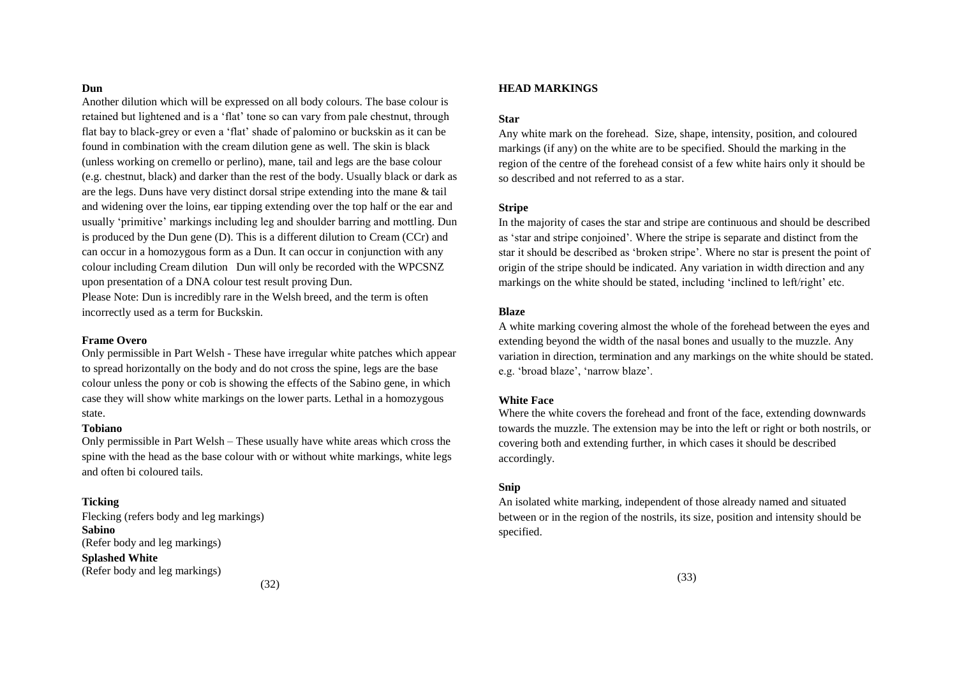#### **Dun**

Another dilution which will be expressed on all body colours. The base colour is retained but lightened and is a "flat" tone so can vary from pale chestnut, through flat bay to black-grey or even a "flat" shade of palomino or buckskin as it can be found in combination with the cream dilution gene as well. The skin is black (unless working on cremello or perlino), mane, tail and legs are the base colour (e.g. chestnut, black) and darker than the rest of the body. Usually black or dark as are the legs. Duns have very distinct dorsal stripe extending into the mane & tail and widening over the loins, ear tipping extending over the top half or the ear and usually "primitive" markings including leg and shoulder barring and mottling. Dun is produced by the Dun gene (D). This is a different dilution to Cream (CCr) and can occur in a homozygous form as a Dun. It can occur in conjunction with any colour including Cream dilution Dun will only be recorded with the WPCSNZ upon presentation of a DNA colour test result proving Dun.

Please Note: Dun is incredibly rare in the Welsh breed, and the term is often incorrectly used as a term for Buckskin.

#### **Frame Overo**

Only permissible in Part Welsh - These have irregular white patches which appear to spread horizontally on the body and do not cross the spine, legs are the base colour unless the pony or cob is showing the effects of the Sabino gene, in which case they will show white markings on the lower parts. Lethal in a homozygous state.

#### **Tobiano**

Only permissible in Part Welsh – These usually have white areas which cross the spine with the head as the base colour with or without white markings, white legs and often bi coloured tails.

## **Ticking**

Flecking (refers body and leg markings) **Sabino** (Refer body and leg markings) **Splashed White** (Refer body and leg markings)

#### **HEAD MARKINGS**

## **Star**

Any white mark on the forehead. Size, shape, intensity, position, and coloured markings (if any) on the white are to be specified. Should the marking in the region of the centre of the forehead consist of a few white hairs only it should be so described and not referred to as a star.

## **Stripe**

In the majority of cases the star and stripe are continuous and should be described as "star and stripe conjoined". Where the stripe is separate and distinct from the star it should be described as "broken stripe". Where no star is present the point of origin of the stripe should be indicated. Any variation in width direction and any markings on the white should be stated, including 'inclined to left/right' etc.

#### **Blaze**

A white marking covering almost the whole of the forehead between the eyes and extending beyond the width of the nasal bones and usually to the muzzle. Any variation in direction, termination and any markings on the white should be stated. e.g. 'broad blaze', 'narrow blaze'.

#### **White Face**

Where the white covers the forehead and front of the face, extending downwards towards the muzzle. The extension may be into the left or right or both nostrils, or covering both and extending further, in which cases it should be described accordingly.

#### **Snip**

An isolated white marking, independent of those already named and situated between or in the region of the nostrils, its size, position and intensity should be specified.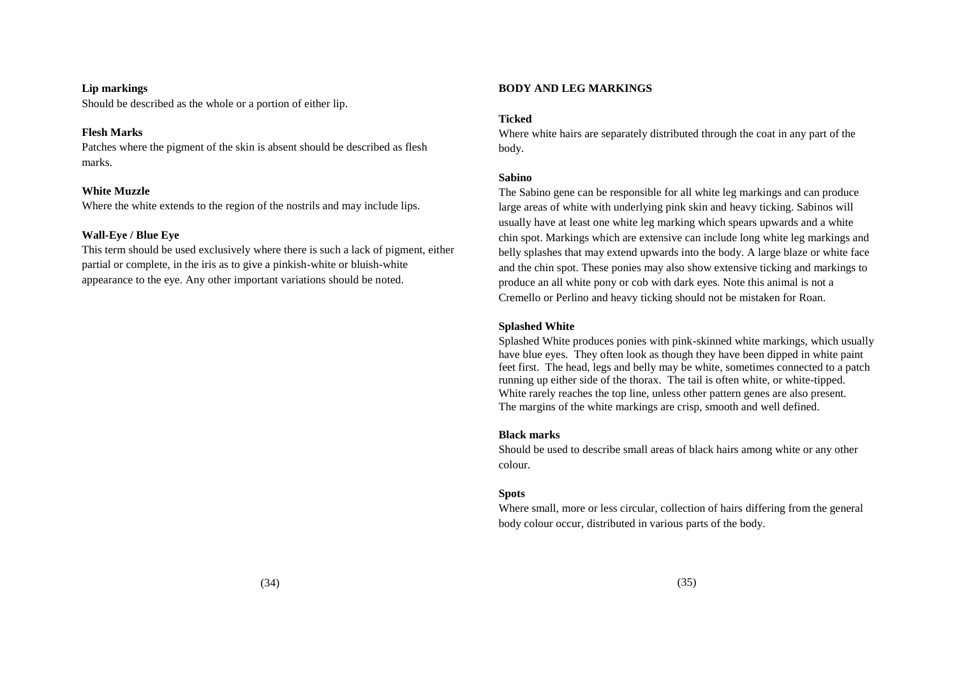## **Lip markings**

Should be described as the whole or a portion of either lip.

### **Flesh Marks**

Patches where the pigment of the skin is absent should be described as flesh marks.

#### **White Muzzle**

Where the white extends to the region of the nostrils and may include lips.

## **Wall-Eye / Blue Eye**

This term should be used exclusively where there is such a lack of pigment, either partial or complete, in the iris as to give a pinkish-white or bluish-white appearance to the eye. Any other important variations should be noted.

## **BODY AND LEG MARKINGS**

## **Ticked**

Where white hairs are separately distributed through the coat in any part of the body.

#### **Sabino**

The Sabino gene can be responsible for all white leg markings and can produce large areas of white with underlying pink skin and heavy ticking. Sabinos will usually have at least one white leg marking which spears upwards and a white chin spot. Markings which are extensive can include long white leg markings and belly splashes that may extend upwards into the body. A large blaze or white face and the chin spot. These ponies may also show extensive ticking and markings to produce an all white pony or cob with dark eyes. Note this animal is not a Cremello or Perlino and heavy ticking should not be mistaken for Roan.

## **Splashed White**

Splashed White produces ponies with pink-skinned white markings, which usually have blue eyes. They often look as though they have been dipped in white paint feet first. The head, legs and belly may be white, sometimes connected to a patch running up either side of the thorax. The tail is often white, or white-tipped. White rarely reaches the top line, unless other pattern genes are also present. The margins of the white markings are crisp, smooth and well defined.

## **Black marks**

Should be used to describe small areas of black hairs among white or any other colour.

### **Spots**

Where small, more or less circular, collection of hairs differing from the general body colour occur, distributed in various parts of the body.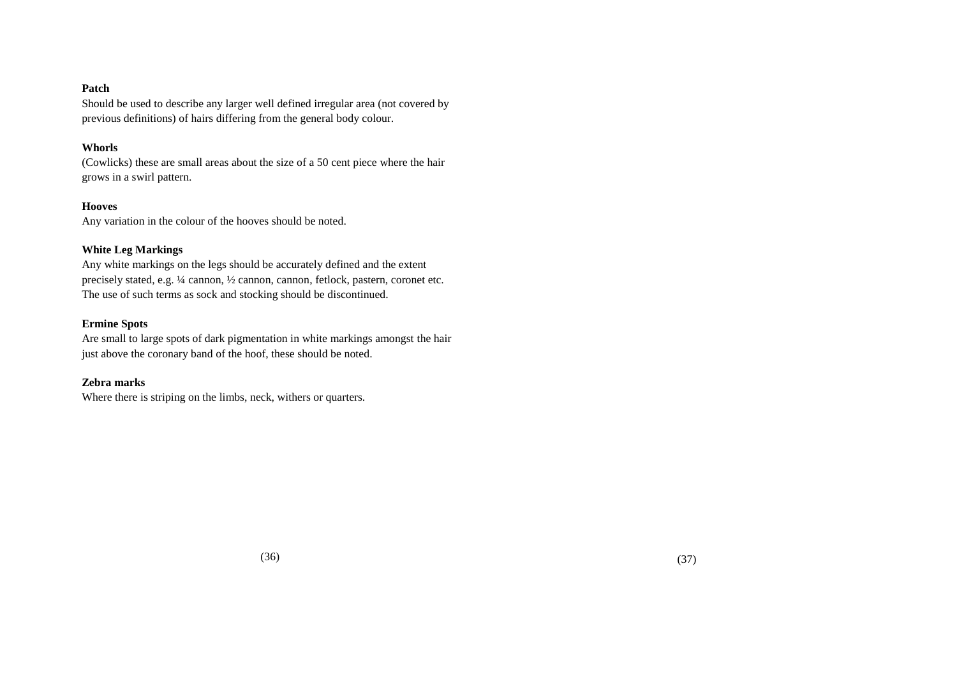## **Patch**

Should be used to describe any larger well defined irregular area (not covered by previous definitions) of hairs differing from the general body colour.

## **Whorls**

(Cowlicks) these are small areas about the size of a 50 cent piece where the hair grows in a swirl pattern.

## **Hooves**

Any variation in the colour of the hooves should be noted.

## **White Leg Markings**

Any white markings on the legs should be accurately defined and the extent precisely stated, e.g. ¼ cannon, ½ cannon, cannon, fetlock, pastern, coronet etc. The use of such terms as sock and stocking should be discontinued.

## **Ermine Spots**

Are small to large spots of dark pigmentation in white markings amongst the hair just above the coronary band of the hoof, these should be noted.

## **Zebra marks**

Where there is striping on the limbs, neck, withers or quarters.